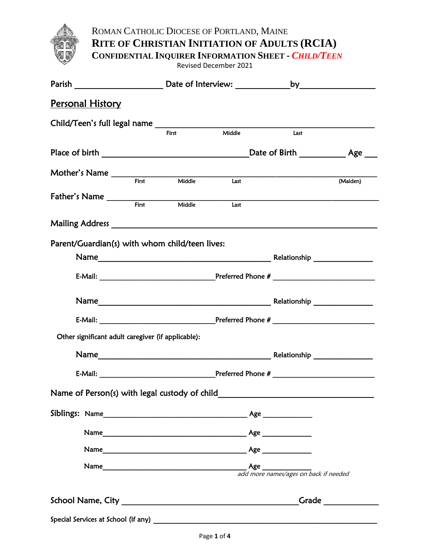

ROMAN CATHOLIC DIOCESE OF PORTLAND, MAINE **RITE OF CHRISTIAN INITIATION OF ADULTS (RCIA)**

**CONFIDENTIAL INQUIRER INFORMATION SHEET -** *CHILD/TEEN*

Revised December 2021

| <u>Personal History</u>                                  |       |        |                                      |                              |  |  |
|----------------------------------------------------------|-------|--------|--------------------------------------|------------------------------|--|--|
|                                                          |       |        |                                      |                              |  |  |
|                                                          | First | Middle | Last                                 |                              |  |  |
|                                                          |       |        | _Date of Birth _____________ Age ___ |                              |  |  |
|                                                          |       |        |                                      |                              |  |  |
| Mother's Name First Middle Last                          |       |        |                                      | (Maiden)                     |  |  |
| Father's Name First Middle                               |       |        |                                      |                              |  |  |
|                                                          |       | Last   |                                      |                              |  |  |
|                                                          |       |        |                                      |                              |  |  |
| Parent/Guardian(s) with whom child/teen lives:           |       |        |                                      |                              |  |  |
|                                                          |       |        |                                      |                              |  |  |
|                                                          |       |        |                                      |                              |  |  |
|                                                          |       |        |                                      |                              |  |  |
|                                                          |       |        |                                      |                              |  |  |
|                                                          |       |        |                                      |                              |  |  |
| Other significant adult caregiver (if applicable):       |       |        |                                      |                              |  |  |
|                                                          |       |        |                                      |                              |  |  |
|                                                          |       |        |                                      |                              |  |  |
|                                                          |       |        |                                      |                              |  |  |
| Name of Person(s) with legal custody of child___________ |       |        |                                      |                              |  |  |
|                                                          |       |        |                                      |                              |  |  |
|                                                          |       |        |                                      |                              |  |  |
|                                                          |       |        |                                      |                              |  |  |
|                                                          |       |        |                                      |                              |  |  |
|                                                          |       |        |                                      |                              |  |  |
|                                                          |       |        |                                      | Grade $\qquad \qquad \qquad$ |  |  |
|                                                          |       |        |                                      |                              |  |  |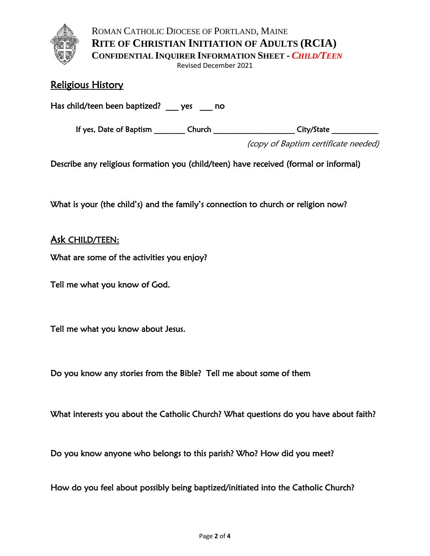

ROMAN CATHOLIC DIOCESE OF PORTLAND, MAINE **RITE OF CHRISTIAN INITIATION OF ADULTS (RCIA) CONFIDENTIAL INQUIRER INFORMATION SHEET -** *CHILD/TEEN*

Revised December 2021

# Religious History

Has child/teen been baptized? \_\_\_ yes \_\_\_ no

If yes, Date of Baptism \_\_\_\_\_\_\_\_\_ Church \_\_\_\_\_\_\_\_\_\_\_\_\_\_\_\_\_\_\_\_\_\_\_ City/State \_\_\_\_\_\_\_\_\_\_\_

(copy of Baptism certificate needed)

Describe any religious formation you (child/teen) have received (formal or informal)

What is your (the child's) and the family's connection to church or religion now?

# Ask CHILD/TEEN:

What are some of the activities you enjoy?

Tell me what you know of God.

Tell me what you know about Jesus.

Do you know any stories from the Bible? Tell me about some of them

What interests you about the Catholic Church? What questions do you have about faith?

Do you know anyone who belongs to this parish? Who? How did you meet?

How do you feel about possibly being baptized/initiated into the Catholic Church?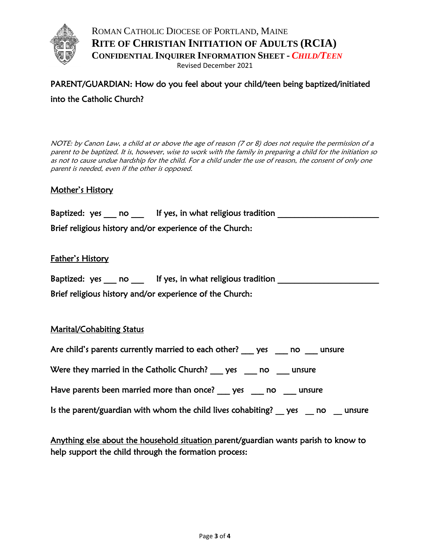

ROMAN CATHOLIC DIOCESE OF PORTLAND, MAINE **RITE OF CHRISTIAN INITIATION OF ADULTS (RCIA) CONFIDENTIAL INQUIRER INFORMATION SHEET -** *CHILD/TEEN* Revised December 2021

# PARENT/GUARDIAN: How do you feel about your child/teen being baptized/initiated into the Catholic Church?

NOTE: by Canon Law, a child at or above the age of reason (7 or 8) does not require the permission of a parent to be baptized. It is, however, wise to work with the family in preparing a child for the initiation so as not to cause undue hardship for the child. For a child under the use of reason, the consent of only one parent is needed, even if the other is opposed.

# Mother's History

| Baptized: yes no                                                                                                      | If yes, in what religious tradition |  |
|-----------------------------------------------------------------------------------------------------------------------|-------------------------------------|--|
| <b>Printed Printed Printed Printed Printed Printed Printed Printed Printed Printed Printed Printed Printed Printe</b> |                                     |  |

Brief religious history and/or experience of the Church:

### Father's History

| Baptized: yes | no |  | If yes, in what religious tradition |  |
|---------------|----|--|-------------------------------------|--|
|               |    |  |                                     |  |

Brief religious history and/or experience of the Church:

### Marital/Cohabiting Status

| Are child's parents currently married to each other? ges |  | no | unsure |
|----------------------------------------------------------|--|----|--------|
|                                                          |  |    |        |

Were they married in the Catholic Church? ges go no government

Have parents been married more than once? \_\_\_ yes \_\_\_ no \_\_\_ unsure

| Is the parent/guardian with whom the child lives cohabiting? $\_\$ yes $\_\$ no |  |  |  |  |  | unsure |
|---------------------------------------------------------------------------------|--|--|--|--|--|--------|
|---------------------------------------------------------------------------------|--|--|--|--|--|--------|

Anything else about the household situation parent/guardian wants parish to know to help support the child through the formation process: